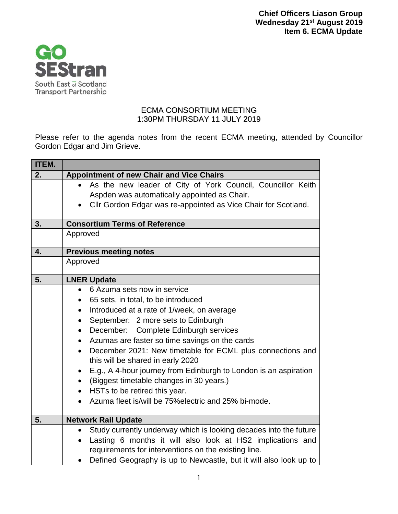

## ECMA CONSORTIUM MEETING 1:30PM THURSDAY 11 JULY 2019

Please refer to the agenda notes from the recent ECMA meeting, attended by Councillor Gordon Edgar and Jim Grieve.

| <b>ITEM.</b> |                                                                                                                                                                                                                                                                                                                                                                                                                                                                                                                                                                                                                                                                        |
|--------------|------------------------------------------------------------------------------------------------------------------------------------------------------------------------------------------------------------------------------------------------------------------------------------------------------------------------------------------------------------------------------------------------------------------------------------------------------------------------------------------------------------------------------------------------------------------------------------------------------------------------------------------------------------------------|
| 2.           | <b>Appointment of new Chair and Vice Chairs</b>                                                                                                                                                                                                                                                                                                                                                                                                                                                                                                                                                                                                                        |
|              | As the new leader of City of York Council, Councillor Keith<br>$\bullet$<br>Aspden was automatically appointed as Chair.<br>Cllr Gordon Edgar was re-appointed as Vice Chair for Scotland.                                                                                                                                                                                                                                                                                                                                                                                                                                                                             |
| 3.           | <b>Consortium Terms of Reference</b>                                                                                                                                                                                                                                                                                                                                                                                                                                                                                                                                                                                                                                   |
|              | Approved                                                                                                                                                                                                                                                                                                                                                                                                                                                                                                                                                                                                                                                               |
| 4.           | <b>Previous meeting notes</b>                                                                                                                                                                                                                                                                                                                                                                                                                                                                                                                                                                                                                                          |
|              | Approved                                                                                                                                                                                                                                                                                                                                                                                                                                                                                                                                                                                                                                                               |
| 5.           | <b>LNER Update</b>                                                                                                                                                                                                                                                                                                                                                                                                                                                                                                                                                                                                                                                     |
|              | 6 Azuma sets now in service<br>$\bullet$<br>65 sets, in total, to be introduced<br>Introduced at a rate of 1/week, on average<br>$\bullet$<br>September: 2 more sets to Edinburgh<br>$\bullet$<br>December: Complete Edinburgh services<br>$\bullet$<br>Azumas are faster so time savings on the cards<br>December 2021: New timetable for ECML plus connections and<br>$\bullet$<br>this will be shared in early 2020<br>E.g., A 4-hour journey from Edinburgh to London is an aspiration<br>$\bullet$<br>(Biggest timetable changes in 30 years.)<br>$\bullet$<br>HSTs to be retired this year.<br>$\bullet$<br>Azuma fleet is/will be 75% electric and 25% bi-mode. |
| 5.           | <b>Network Rail Update</b>                                                                                                                                                                                                                                                                                                                                                                                                                                                                                                                                                                                                                                             |
|              | Study currently underway which is looking decades into the future<br>$\bullet$<br>Lasting 6 months it will also look at HS2 implications and<br>$\bullet$<br>requirements for interventions on the existing line.<br>Defined Geography is up to Newcastle, but it will also look up to                                                                                                                                                                                                                                                                                                                                                                                 |